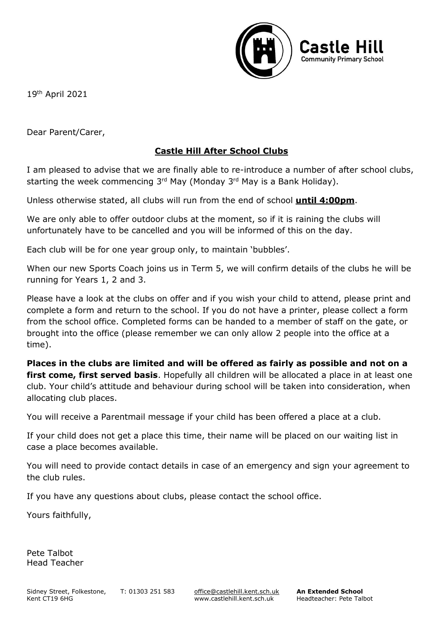

19th April 2021

Dear Parent/Carer,

## **Castle Hill After School Clubs**

I am pleased to advise that we are finally able to re-introduce a number of after school clubs, starting the week commencing 3<sup>rd</sup> May (Monday 3<sup>rd</sup> May is a Bank Holiday).

Unless otherwise stated, all clubs will run from the end of school **until 4:00pm**.

We are only able to offer outdoor clubs at the moment, so if it is raining the clubs will unfortunately have to be cancelled and you will be informed of this on the day.

Each club will be for one year group only, to maintain 'bubbles'.

When our new Sports Coach joins us in Term 5, we will confirm details of the clubs he will be running for Years 1, 2 and 3.

Please have a look at the clubs on offer and if you wish your child to attend, please print and complete a form and return to the school. If you do not have a printer, please collect a form from the school office. Completed forms can be handed to a member of staff on the gate, or brought into the office (please remember we can only allow 2 people into the office at a time).

**Places in the clubs are limited and will be offered as fairly as possible and not on a first come, first served basis**. Hopefully all children will be allocated a place in at least one club. Your child's attitude and behaviour during school will be taken into consideration, when allocating club places.

You will receive a Parentmail message if your child has been offered a place at a club.

If your child does not get a place this time, their name will be placed on our waiting list in case a place becomes available.

You will need to provide contact details in case of an emergency and sign your agreement to the club rules.

If you have any questions about clubs, please contact the school office.

Yours faithfully,

Pete Talbot Head Teacher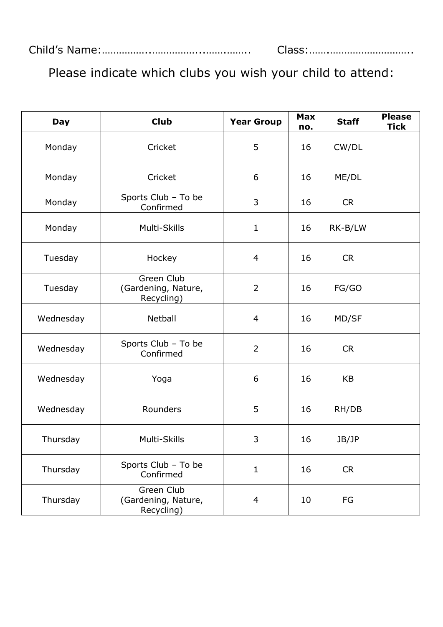| <b>Day</b> | <b>Club</b>                                     | <b>Year Group</b> | <b>Max</b><br>no. | <b>Staff</b> | <b>Please</b><br><b>Tick</b> |
|------------|-------------------------------------------------|-------------------|-------------------|--------------|------------------------------|
| Monday     | Cricket                                         | 5                 | 16                | CW/DL        |                              |
| Monday     | Cricket                                         | 6                 | 16                | ME/DL        |                              |
| Monday     | Sports Club - To be<br>Confirmed                | 3                 | 16                | <b>CR</b>    |                              |
| Monday     | Multi-Skills                                    | $\mathbf{1}$      | 16                | RK-B/LW      |                              |
| Tuesday    | Hockey                                          | 4                 | 16                | <b>CR</b>    |                              |
| Tuesday    | Green Club<br>(Gardening, Nature,<br>Recycling) | $\overline{2}$    | 16                | FG/GO        |                              |
| Wednesday  | Netball                                         | 4                 | 16                | MD/SF        |                              |
| Wednesday  | Sports Club - To be<br>Confirmed                | $\overline{2}$    | 16                | <b>CR</b>    |                              |
| Wednesday  | Yoga                                            | 6                 | 16                | KB           |                              |
| Wednesday  | Rounders                                        | 5                 | 16                | RH/DB        |                              |
| Thursday   | Multi-Skills                                    | 3                 | 16                | JB/JP        |                              |
| Thursday   | Sports Club - To be<br>Confirmed                | $\mathbf{1}$      | 16                | <b>CR</b>    |                              |
| Thursday   | Green Club<br>(Gardening, Nature,<br>Recycling) | 4                 | 10                | FG           |                              |